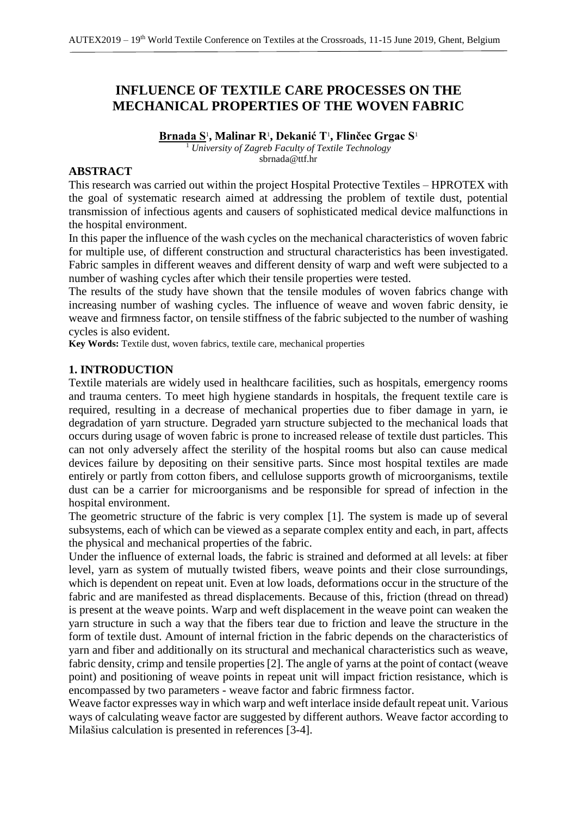# **INFLUENCE OF TEXTILE CARE PROCESSES ON THE MECHANICAL PROPERTIES OF THE WOVEN FABRIC**

**Brnada S**<sup>1</sup> **, Malinar R**<sup>1</sup> **, Dekanić T**<sup>1</sup> **, Flinčec Grgac S**<sup>1</sup> <sup>1</sup> *University of Zagreb Faculty of Textile Technology* sbrnada@ttf.hr

### **ABSTRACT**

This research was carried out within the project Hospital Protective Textiles – HPROTEX with the goal of systematic research aimed at addressing the problem of textile dust, potential transmission of infectious agents and causers of sophisticated medical device malfunctions in the hospital environment.

In this paper the influence of the wash cycles on the mechanical characteristics of woven fabric for multiple use, of different construction and structural characteristics has been investigated. Fabric samples in different weaves and different density of warp and weft were subjected to a number of washing cycles after which their tensile properties were tested.

The results of the study have shown that the tensile modules of woven fabrics change with increasing number of washing cycles. The influence of weave and woven fabric density, ie weave and firmness factor, on tensile stiffness of the fabric subjected to the number of washing cycles is also evident.

**Key Words:** Textile dust, woven fabrics, textile care, mechanical properties

### **1. INTRODUCTION**

Textile materials are widely used in healthcare facilities, such as hospitals, emergency rooms and trauma centers. To meet high hygiene standards in hospitals, the frequent textile care is required, resulting in a decrease of mechanical properties due to fiber damage in yarn, ie degradation of yarn structure. Degraded yarn structure subjected to the mechanical loads that occurs during usage of woven fabric is prone to increased release of textile dust particles. This can not only adversely affect the sterility of the hospital rooms but also can cause medical devices failure by depositing on their sensitive parts. Since most hospital textiles are made entirely or partly from cotton fibers, and cellulose supports growth of microorganisms, textile dust can be a carrier for microorganisms and be responsible for spread of infection in the hospital environment.

The geometric structure of the fabric is very complex [1]. The system is made up of several subsystems, each of which can be viewed as a separate complex entity and each, in part, affects the physical and mechanical properties of the fabric.

Under the influence of external loads, the fabric is strained and deformed at all levels: at fiber level, yarn as system of mutually twisted fibers, weave points and their close surroundings, which is dependent on repeat unit. Even at low loads, deformations occur in the structure of the fabric and are manifested as thread displacements. Because of this, friction (thread on thread) is present at the weave points. Warp and weft displacement in the weave point can weaken the yarn structure in such a way that the fibers tear due to friction and leave the structure in the form of textile dust. Amount of internal friction in the fabric depends on the characteristics of yarn and fiber and additionally on its structural and mechanical characteristics such as weave, fabric density, crimp and tensile properties [2]. The angle of yarns at the point of contact (weave point) and positioning of weave points in repeat unit will impact friction resistance, which is encompassed by two parameters - weave factor and fabric firmness factor.

Weave factor expresses way in which warp and weft interlace inside default repeat unit. Various ways of calculating weave factor are suggested by different authors. Weave factor according to Milašius calculation is presented in references [3-4].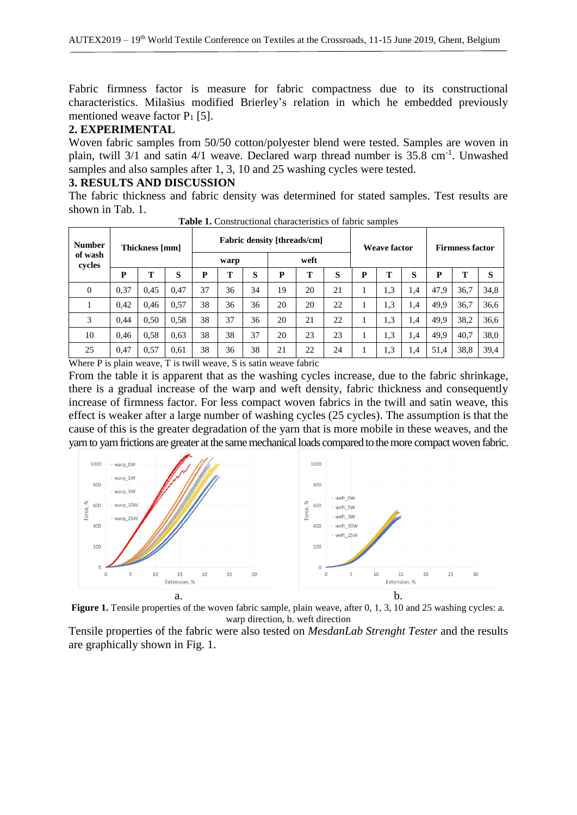Fabric firmness factor is measure for fabric compactness due to its constructional characteristics. Milašius modified Brierley's relation in which he embedded previously mentioned weave factor  $P_1$  [5].

#### **2. EXPERIMENTAL**

Woven fabric samples from 50/50 cotton/polyester blend were tested. Samples are woven in plain, twill 3/1 and satin 4/1 weave. Declared warp thread number is 35.8 cm<sup>-1</sup>. Unwashed samples and also samples after 1, 3, 10 and 25 washing cycles were tested.

#### **3. RESULTS AND DISCUSSION**

The fabric thickness and fabric density was determined for stated samples. Test results are shown in Tab. 1.

| <b>Number</b><br>of wash<br>cycles | Thickness [mm] |      |      | <b>Fabric density [threads/cm]</b> |    |    |      |    |    | <b>Weave factor</b> |     |     | <b>Firmness factor</b> |      |      |
|------------------------------------|----------------|------|------|------------------------------------|----|----|------|----|----|---------------------|-----|-----|------------------------|------|------|
|                                    |                |      |      | warp                               |    |    | weft |    |    |                     |     |     |                        |      |      |
|                                    | P              | т    | S    | P                                  | т  | S  | P    | Т  | S  | P                   |     | S   | P                      | m    | S    |
| $\theta$                           | 0.37           | 0.45 | 0.47 | 37                                 | 36 | 34 | 19   | 20 | 21 |                     | 1,3 | 1.4 | 47.9                   | 36,7 | 34,8 |
|                                    | 0.42           | 0.46 | 0.57 | 38                                 | 36 | 36 | 20   | 20 | 22 |                     | 1,3 | 1,4 | 49.9                   | 36,7 | 36,6 |
| 3                                  | 0.44           | 0.50 | 0.58 | 38                                 | 37 | 36 | 20   | 21 | 22 |                     | 1,3 | 1,4 | 49.9                   | 38,2 | 36,6 |
| 10                                 | 0.46           | 0.58 | 0.63 | 38                                 | 38 | 37 | 20   | 23 | 23 |                     | 1,3 | 1,4 | 49,9                   | 40,7 | 38,0 |
| 25                                 | 0.47           | 0,57 | 0.61 | 38                                 | 36 | 38 | 21   | 22 | 24 |                     | 1,3 | 1,4 | 51.4                   | 38,8 | 39,4 |

**Table 1.** Constructional characteristics of fabric samples

Where P is plain weave, T is twill weave, S is satin weave fabric

From the table it is apparent that as the washing cycles increase, due to the fabric shrinkage, there is a gradual increase of the warp and weft density, fabric thickness and consequently increase of firmness factor. For less compact woven fabrics in the twill and satin weave, this effect is weaker after a large number of washing cycles (25 cycles). The assumption is that the cause of this is the greater degradation of the yarn that is more mobile in these weaves, and the yarn to yarn frictions are greater at the same mechanical loads compared to the more compact woven fabric.



**Figure 1.** Tensile properties of the woven fabric sample, plain weave, after 0, 1, 3, 10 and 25 washing cycles: a. warp direction, b. weft direction

Tensile properties of the fabric were also tested on *MesdanLab Strenght Tester* and the results are graphically shown in Fig. 1.